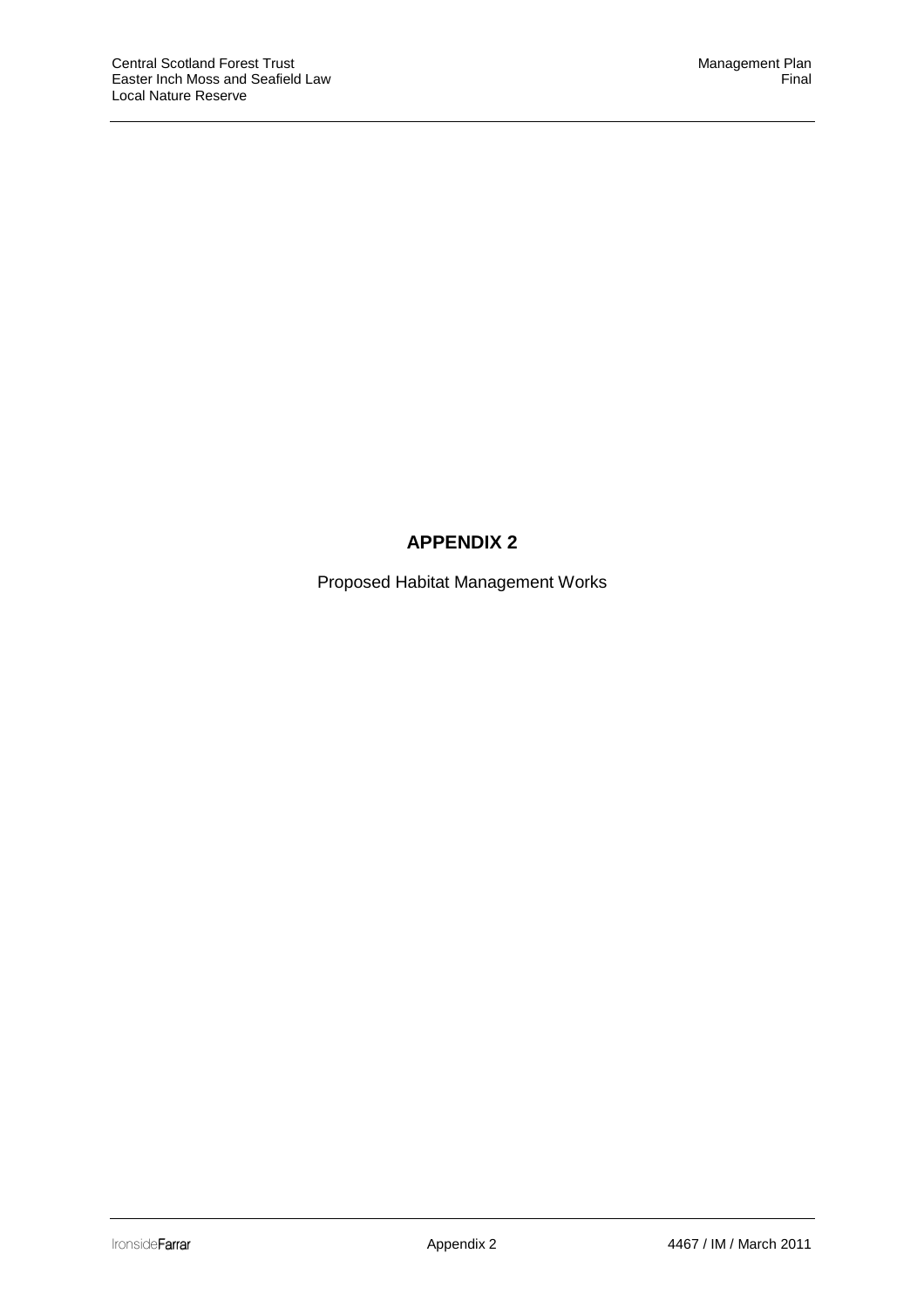## **APPENDIX 2**

Proposed Habitat Management Works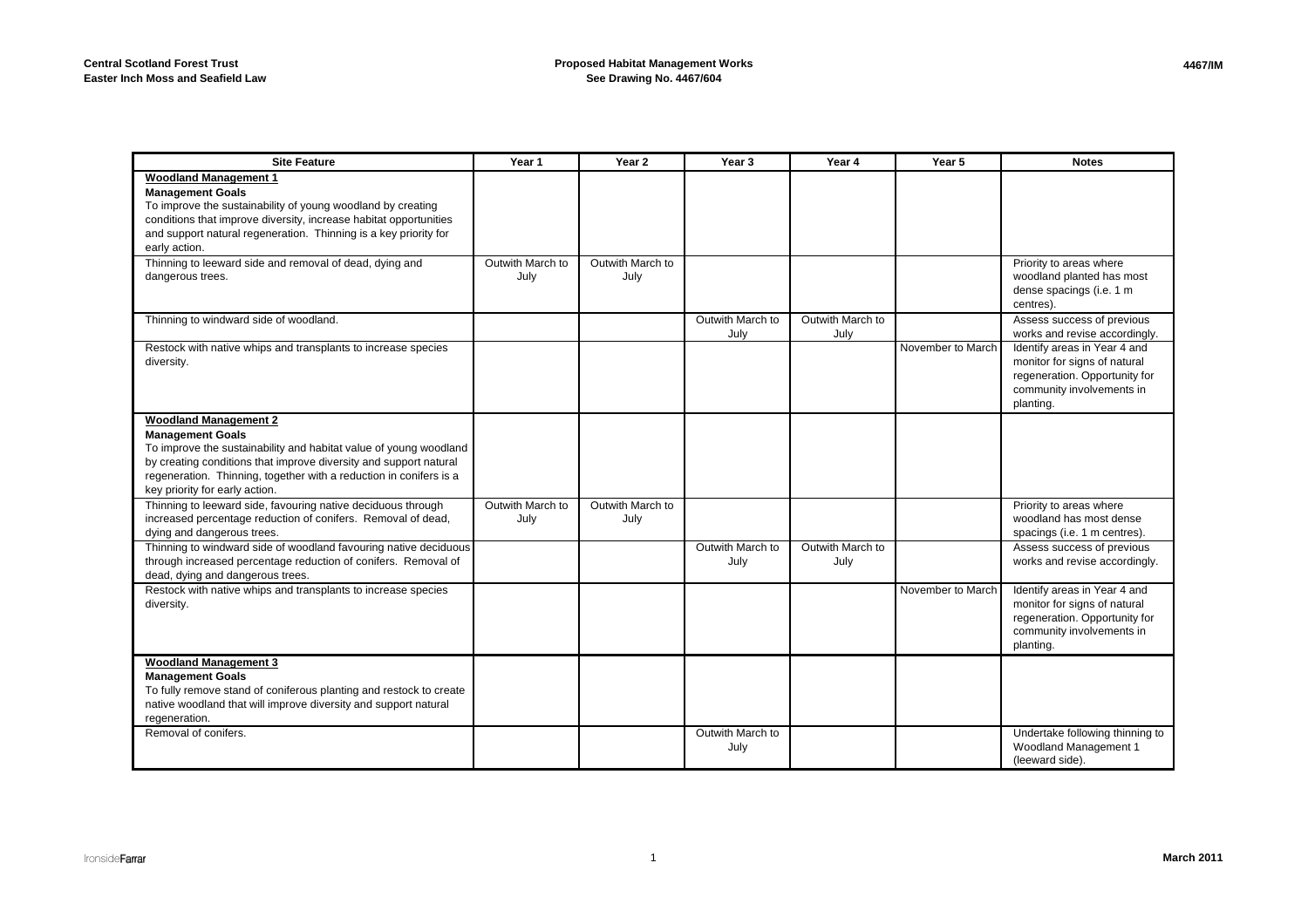| <b>Site Feature</b>                                                                                                                                                                                                                                                                                       | Year 1                   | Year 2                   | Year <sub>3</sub>        | Year 4                   | Year 5            | <b>Notes</b>                                                                                                                            |
|-----------------------------------------------------------------------------------------------------------------------------------------------------------------------------------------------------------------------------------------------------------------------------------------------------------|--------------------------|--------------------------|--------------------------|--------------------------|-------------------|-----------------------------------------------------------------------------------------------------------------------------------------|
| <b>Woodland Management 1</b><br><b>Management Goals</b><br>To improve the sustainability of young woodland by creating<br>conditions that improve diversity, increase habitat opportunities<br>and support natural regeneration. Thinning is a key priority for<br>early action.                          |                          |                          |                          |                          |                   |                                                                                                                                         |
| Thinning to leeward side and removal of dead, dying and<br>dangerous trees.                                                                                                                                                                                                                               | Outwith March to<br>July | Outwith March to<br>July |                          |                          |                   | Priority to areas where<br>woodland planted has most<br>dense spacings (i.e. 1 m<br>centres).                                           |
| Thinning to windward side of woodland.                                                                                                                                                                                                                                                                    |                          |                          | Outwith March to<br>July | Outwith March to<br>July |                   | Assess success of previous<br>works and revise accordingly.                                                                             |
| Restock with native whips and transplants to increase species<br>diversity.                                                                                                                                                                                                                               |                          |                          |                          |                          | November to March | Identify areas in Year 4 and<br>monitor for signs of natural<br>regeneration. Opportunity for<br>community involvements in<br>planting. |
| <b>Woodland Management 2</b><br><b>Management Goals</b><br>To improve the sustainability and habitat value of young woodland<br>by creating conditions that improve diversity and support natural<br>regeneration. Thinning, together with a reduction in conifers is a<br>key priority for early action. |                          |                          |                          |                          |                   |                                                                                                                                         |
| Thinning to leeward side, favouring native deciduous through<br>increased percentage reduction of conifers. Removal of dead,<br>dying and dangerous trees.                                                                                                                                                | Outwith March to<br>July | Outwith March to<br>July |                          |                          |                   | Priority to areas where<br>woodland has most dense<br>spacings (i.e. 1 m centres).                                                      |
| Thinning to windward side of woodland favouring native deciduous<br>through increased percentage reduction of conifers. Removal of<br>dead, dying and dangerous trees.                                                                                                                                    |                          |                          | Outwith March to<br>July | Outwith March to<br>July |                   | Assess success of previous<br>works and revise accordingly.                                                                             |
| Restock with native whips and transplants to increase species<br>diversity.                                                                                                                                                                                                                               |                          |                          |                          |                          | November to March | Identify areas in Year 4 and<br>monitor for signs of natural<br>regeneration. Opportunity for<br>community involvements in<br>planting. |
| <b>Woodland Management 3</b><br><b>Management Goals</b><br>To fully remove stand of coniferous planting and restock to create<br>native woodland that will improve diversity and support natural<br>regeneration.                                                                                         |                          |                          |                          |                          |                   |                                                                                                                                         |
| Removal of conifers.                                                                                                                                                                                                                                                                                      |                          |                          | Outwith March to<br>July |                          |                   | Undertake following thinning to<br>Woodland Management 1<br>(leeward side).                                                             |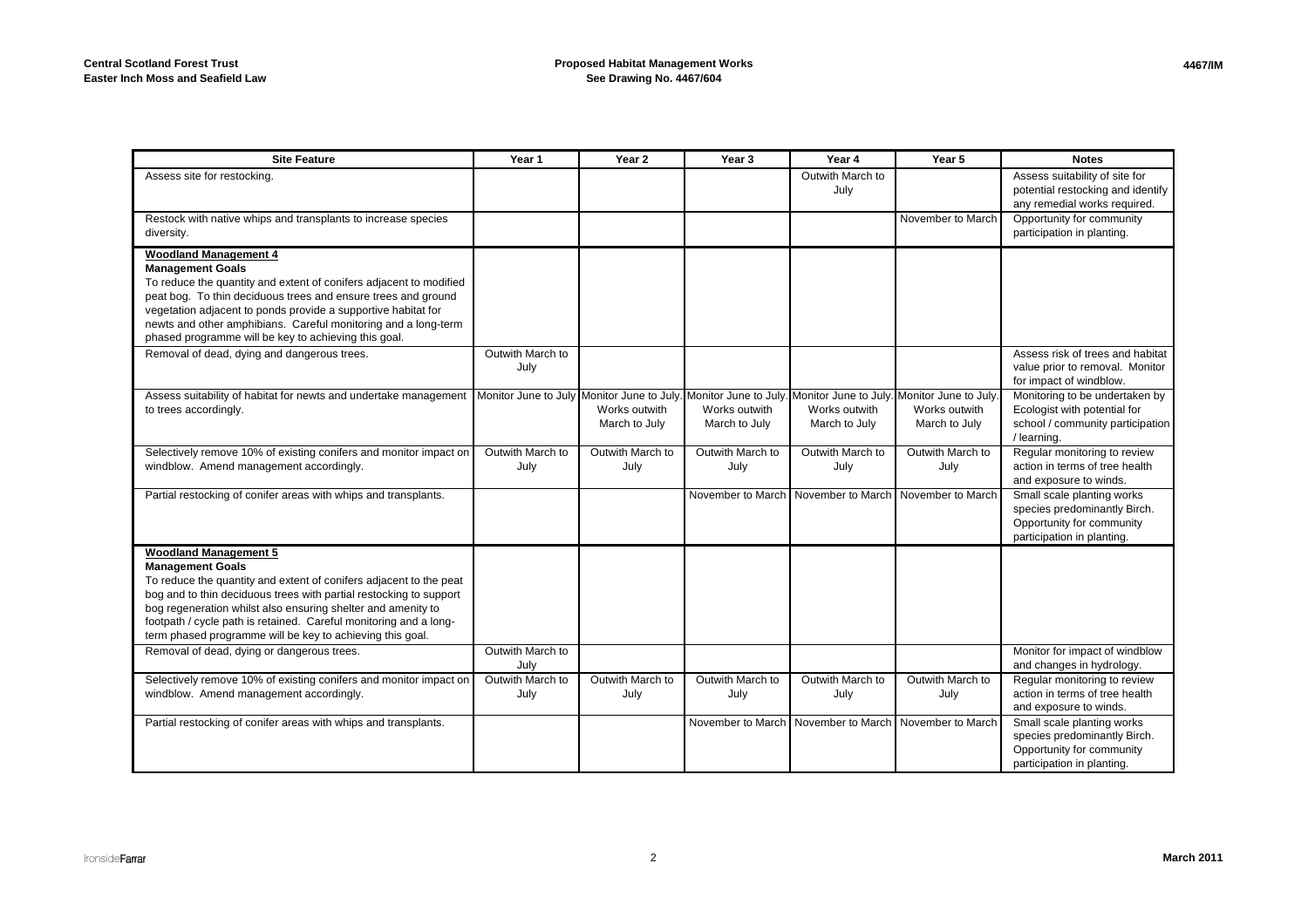| <b>Site Feature</b>                                                                                                                                                                                                                                                                                                                                                                                   | Year 1                   | Year 2                         | Year <sub>3</sub>                                                                                                                             | Year 4                         | Year 5                         | <b>Notes</b>                                                                                                          |
|-------------------------------------------------------------------------------------------------------------------------------------------------------------------------------------------------------------------------------------------------------------------------------------------------------------------------------------------------------------------------------------------------------|--------------------------|--------------------------------|-----------------------------------------------------------------------------------------------------------------------------------------------|--------------------------------|--------------------------------|-----------------------------------------------------------------------------------------------------------------------|
| Assess site for restocking.                                                                                                                                                                                                                                                                                                                                                                           |                          |                                |                                                                                                                                               | Outwith March to<br>July       |                                | Assess suitability of site for<br>potential restocking and identify<br>any remedial works required.                   |
| Restock with native whips and transplants to increase species<br>diversity.                                                                                                                                                                                                                                                                                                                           |                          |                                |                                                                                                                                               |                                | November to March              | Opportunity for community<br>participation in planting.                                                               |
| <b>Woodland Management 4</b><br><b>Management Goals</b><br>To reduce the quantity and extent of conifers adjacent to modified<br>peat bog. To thin deciduous trees and ensure trees and ground<br>vegetation adjacent to ponds provide a supportive habitat for<br>newts and other amphibians. Careful monitoring and a long-term<br>phased programme will be key to achieving this goal.             |                          |                                |                                                                                                                                               |                                |                                |                                                                                                                       |
| Removal of dead, dying and dangerous trees.                                                                                                                                                                                                                                                                                                                                                           | Outwith March to<br>July |                                |                                                                                                                                               |                                |                                | Assess risk of trees and habitat<br>value prior to removal. Monitor<br>for impact of windblow.                        |
| Assess suitability of habitat for newts and undertake management<br>to trees accordingly.                                                                                                                                                                                                                                                                                                             |                          | Works outwith<br>March to July | Monitor June to July Monitor June to July. Monitor June to July. Monitor June to July. Monitor June to July<br>Works outwith<br>March to July | Works outwith<br>March to July | Works outwith<br>March to July | Monitoring to be undertaken by<br>Ecologist with potential for<br>school / community participation<br>/ learning.     |
| Selectively remove 10% of existing conifers and monitor impact on<br>windblow. Amend management accordingly.                                                                                                                                                                                                                                                                                          | Outwith March to<br>July | Outwith March to<br>July       | Outwith March to<br>July                                                                                                                      | Outwith March to<br>July       | Outwith March to<br>July       | Regular monitoring to review<br>action in terms of tree health<br>and exposure to winds.                              |
| Partial restocking of conifer areas with whips and transplants.                                                                                                                                                                                                                                                                                                                                       |                          |                                | November to March                                                                                                                             | November to March              | November to March              | Small scale planting works<br>species predominantly Birch.<br>Opportunity for community<br>participation in planting. |
| <b>Woodland Management 5</b><br><b>Management Goals</b><br>To reduce the quantity and extent of conifers adjacent to the peat<br>bog and to thin deciduous trees with partial restocking to support<br>bog regeneration whilst also ensuring shelter and amenity to<br>footpath / cycle path is retained. Careful monitoring and a long-<br>term phased programme will be key to achieving this goal. |                          |                                |                                                                                                                                               |                                |                                |                                                                                                                       |
| Removal of dead, dying or dangerous trees.                                                                                                                                                                                                                                                                                                                                                            | Outwith March to<br>July |                                |                                                                                                                                               |                                |                                | Monitor for impact of windblow<br>and changes in hydrology.                                                           |
| Selectively remove 10% of existing conifers and monitor impact on<br>windblow. Amend management accordingly.                                                                                                                                                                                                                                                                                          | Outwith March to<br>July | Outwith March to<br>July       | Outwith March to<br>July                                                                                                                      | Outwith March to<br>July       | Outwith March to<br>July       | Regular monitoring to review<br>action in terms of tree health<br>and exposure to winds.                              |
| Partial restocking of conifer areas with whips and transplants.                                                                                                                                                                                                                                                                                                                                       |                          |                                | November to March                                                                                                                             | November to March              | November to March              | Small scale planting works<br>species predominantly Birch.<br>Opportunity for community<br>participation in planting. |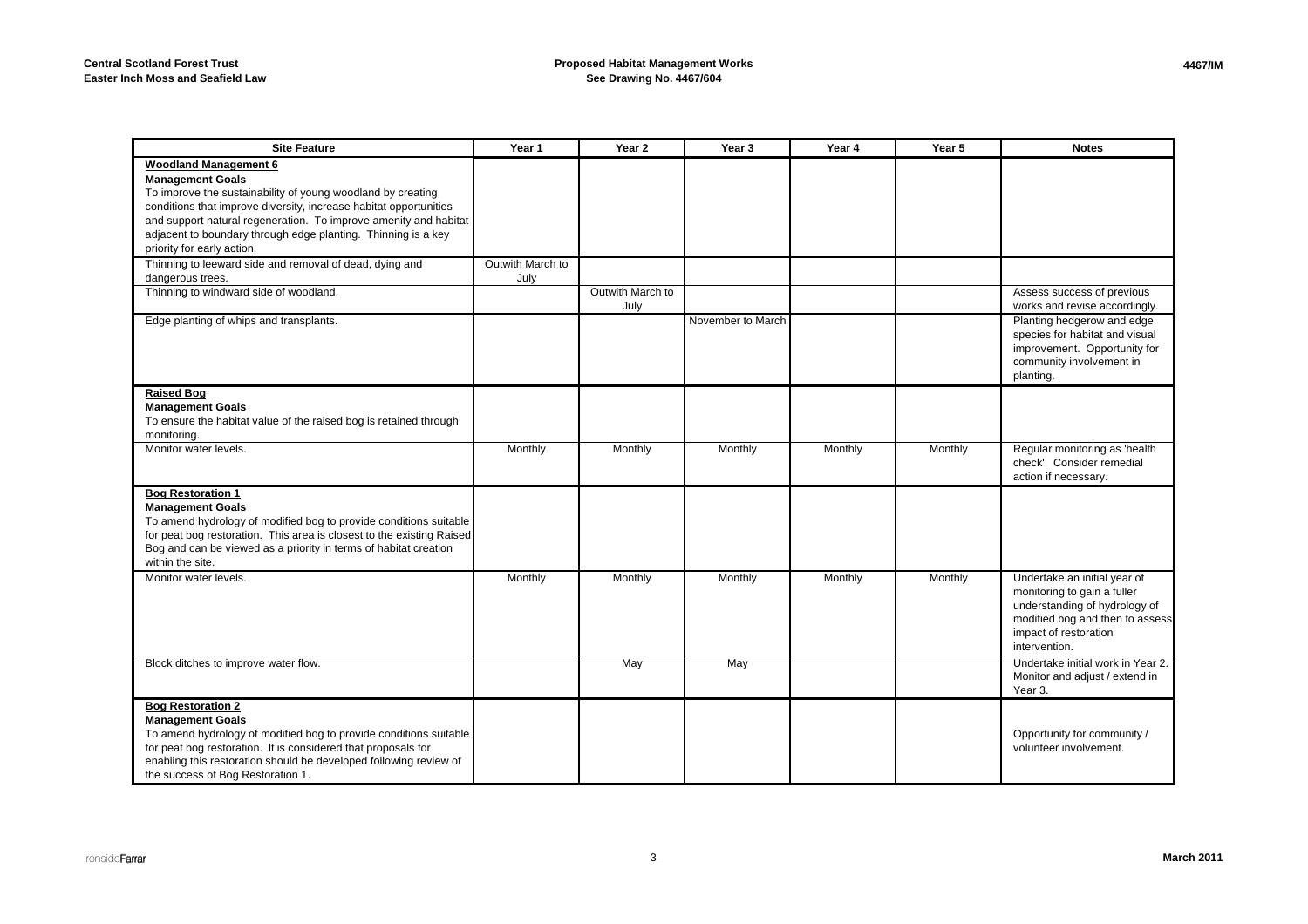| <b>Site Feature</b>                                                                                                                        | Year 1           | Year <sub>2</sub>        | Year 3            | Year 4  | Year 5  | <b>Notes</b>                                                |
|--------------------------------------------------------------------------------------------------------------------------------------------|------------------|--------------------------|-------------------|---------|---------|-------------------------------------------------------------|
| <b>Woodland Management 6</b>                                                                                                               |                  |                          |                   |         |         |                                                             |
| <b>Management Goals</b>                                                                                                                    |                  |                          |                   |         |         |                                                             |
| To improve the sustainability of young woodland by creating                                                                                |                  |                          |                   |         |         |                                                             |
| conditions that improve diversity, increase habitat opportunities                                                                          |                  |                          |                   |         |         |                                                             |
| and support natural regeneration. To improve amenity and habitat                                                                           |                  |                          |                   |         |         |                                                             |
| adjacent to boundary through edge planting. Thinning is a key                                                                              |                  |                          |                   |         |         |                                                             |
| priority for early action.                                                                                                                 |                  |                          |                   |         |         |                                                             |
| Thinning to leeward side and removal of dead, dying and                                                                                    | Outwith March to |                          |                   |         |         |                                                             |
| dangerous trees.                                                                                                                           | July             |                          |                   |         |         |                                                             |
| Thinning to windward side of woodland.                                                                                                     |                  | Outwith March to<br>July |                   |         |         | Assess success of previous<br>works and revise accordingly. |
| Edge planting of whips and transplants.                                                                                                    |                  |                          | November to March |         |         | Planting hedgerow and edge                                  |
|                                                                                                                                            |                  |                          |                   |         |         | species for habitat and visual                              |
|                                                                                                                                            |                  |                          |                   |         |         | improvement. Opportunity for                                |
|                                                                                                                                            |                  |                          |                   |         |         | community involvement in                                    |
|                                                                                                                                            |                  |                          |                   |         |         | planting.                                                   |
| <b>Raised Bog</b>                                                                                                                          |                  |                          |                   |         |         |                                                             |
| <b>Management Goals</b>                                                                                                                    |                  |                          |                   |         |         |                                                             |
| To ensure the habitat value of the raised bog is retained through                                                                          |                  |                          |                   |         |         |                                                             |
| monitoring.                                                                                                                                |                  |                          |                   |         |         |                                                             |
| Monitor water levels.                                                                                                                      | Monthly          | Monthly                  | Monthly           | Monthly | Monthly | Regular monitoring as 'health                               |
|                                                                                                                                            |                  |                          |                   |         |         | check'. Consider remedial                                   |
|                                                                                                                                            |                  |                          |                   |         |         | action if necessary.                                        |
| <b>Bog Restoration 1</b>                                                                                                                   |                  |                          |                   |         |         |                                                             |
| <b>Management Goals</b>                                                                                                                    |                  |                          |                   |         |         |                                                             |
| To amend hydrology of modified bog to provide conditions suitable<br>for peat bog restoration. This area is closest to the existing Raised |                  |                          |                   |         |         |                                                             |
| Bog and can be viewed as a priority in terms of habitat creation                                                                           |                  |                          |                   |         |         |                                                             |
| within the site.                                                                                                                           |                  |                          |                   |         |         |                                                             |
| Monitor water levels.                                                                                                                      | Monthly          | Monthly                  | Monthly           | Monthly | Monthly | Undertake an initial year of                                |
|                                                                                                                                            |                  |                          |                   |         |         | monitoring to gain a fuller                                 |
|                                                                                                                                            |                  |                          |                   |         |         | understanding of hydrology of                               |
|                                                                                                                                            |                  |                          |                   |         |         | modified bog and then to assess                             |
|                                                                                                                                            |                  |                          |                   |         |         | impact of restoration                                       |
|                                                                                                                                            |                  |                          |                   |         |         | intervention.                                               |
| Block ditches to improve water flow.                                                                                                       |                  | May                      | May               |         |         | Undertake initial work in Year 2.                           |
|                                                                                                                                            |                  |                          |                   |         |         | Monitor and adjust / extend in                              |
|                                                                                                                                            |                  |                          |                   |         |         | Year 3.                                                     |
| <b>Bog Restoration 2</b>                                                                                                                   |                  |                          |                   |         |         |                                                             |
| <b>Management Goals</b>                                                                                                                    |                  |                          |                   |         |         |                                                             |
| To amend hydrology of modified bog to provide conditions suitable                                                                          |                  |                          |                   |         |         | Opportunity for community /                                 |
| for peat bog restoration. It is considered that proposals for<br>enabling this restoration should be developed following review of         |                  |                          |                   |         |         | volunteer involvement.                                      |
| the success of Bog Restoration 1.                                                                                                          |                  |                          |                   |         |         |                                                             |
|                                                                                                                                            |                  |                          |                   |         |         |                                                             |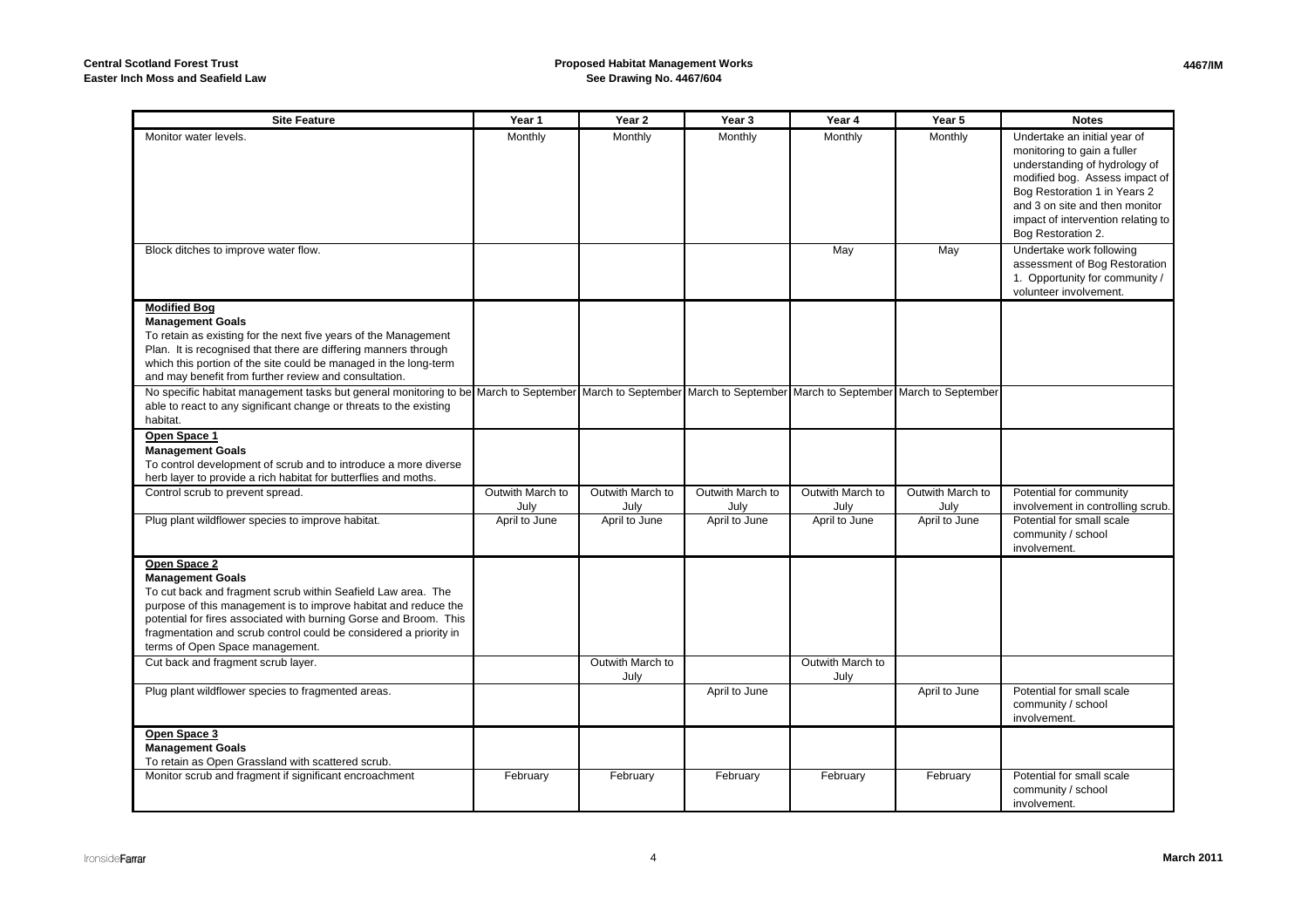#### **Proposed Habitat Management WorksSee Drawing No. 4467/604**

| <b>Site Feature</b>                                                                                                                                                                                                                                                                                                                                                                           | Year 1                   | Year 2                   | Year <sub>3</sub>        | Year 4                   | Year 5                   | <b>Notes</b>                                                                                                                                                                                                                                                 |
|-----------------------------------------------------------------------------------------------------------------------------------------------------------------------------------------------------------------------------------------------------------------------------------------------------------------------------------------------------------------------------------------------|--------------------------|--------------------------|--------------------------|--------------------------|--------------------------|--------------------------------------------------------------------------------------------------------------------------------------------------------------------------------------------------------------------------------------------------------------|
| Monitor water levels.                                                                                                                                                                                                                                                                                                                                                                         | Monthly                  | Monthly                  | Monthly                  | Monthly                  | Monthly                  | Undertake an initial year of<br>monitoring to gain a fuller<br>understanding of hydrology of<br>modified bog. Assess impact of<br>Bog Restoration 1 in Years 2<br>and 3 on site and then monitor<br>impact of intervention relating to<br>Bog Restoration 2. |
| Block ditches to improve water flow.                                                                                                                                                                                                                                                                                                                                                          |                          |                          |                          | May                      | May                      | Undertake work following<br>assessment of Bog Restoration<br>1. Opportunity for community /<br>volunteer involvement.                                                                                                                                        |
| <b>Modified Bog</b><br><b>Management Goals</b><br>To retain as existing for the next five years of the Management<br>Plan. It is recognised that there are differing manners through<br>which this portion of the site could be managed in the long-term<br>and may benefit from further review and consultation.                                                                             |                          |                          |                          |                          |                          |                                                                                                                                                                                                                                                              |
| No specific habitat management tasks but general monitoring to be March to September March to September March to September March to September March to September March to September<br>able to react to any significant change or threats to the existing<br>habitat.                                                                                                                         |                          |                          |                          |                          |                          |                                                                                                                                                                                                                                                              |
| Open Space 1<br><b>Management Goals</b><br>To control development of scrub and to introduce a more diverse<br>herb layer to provide a rich habitat for butterflies and moths.                                                                                                                                                                                                                 |                          |                          |                          |                          |                          |                                                                                                                                                                                                                                                              |
| Control scrub to prevent spread.                                                                                                                                                                                                                                                                                                                                                              | Outwith March to<br>July | Outwith March to<br>July | Outwith March to<br>July | Outwith March to<br>July | Outwith March to<br>July | Potential for community<br>involvement in controlling scrub.                                                                                                                                                                                                 |
| Plug plant wildflower species to improve habitat.                                                                                                                                                                                                                                                                                                                                             | April to June            | April to June            | April to June            | April to June            | April to June            | Potential for small scale<br>community / school<br>involvement.                                                                                                                                                                                              |
| Open Space 2<br><b>Management Goals</b><br>To cut back and fragment scrub within Seafield Law area. The<br>purpose of this management is to improve habitat and reduce the<br>potential for fires associated with burning Gorse and Broom. This<br>fragmentation and scrub control could be considered a priority in<br>terms of Open Space management.<br>Cut back and fragment scrub layer. |                          | Outwith March to         |                          | Outwith March to         |                          |                                                                                                                                                                                                                                                              |
|                                                                                                                                                                                                                                                                                                                                                                                               |                          | July                     |                          | July                     |                          |                                                                                                                                                                                                                                                              |
| Plug plant wildflower species to fragmented areas.                                                                                                                                                                                                                                                                                                                                            |                          |                          | April to June            |                          | April to June            | Potential for small scale<br>community / school<br>involvement.                                                                                                                                                                                              |
| Open Space 3<br><b>Management Goals</b><br>To retain as Open Grassland with scattered scrub.                                                                                                                                                                                                                                                                                                  |                          |                          |                          |                          |                          |                                                                                                                                                                                                                                                              |
| Monitor scrub and fragment if significant encroachment                                                                                                                                                                                                                                                                                                                                        | February                 | February                 | February                 | February                 | February                 | Potential for small scale<br>community / school<br>involvement.                                                                                                                                                                                              |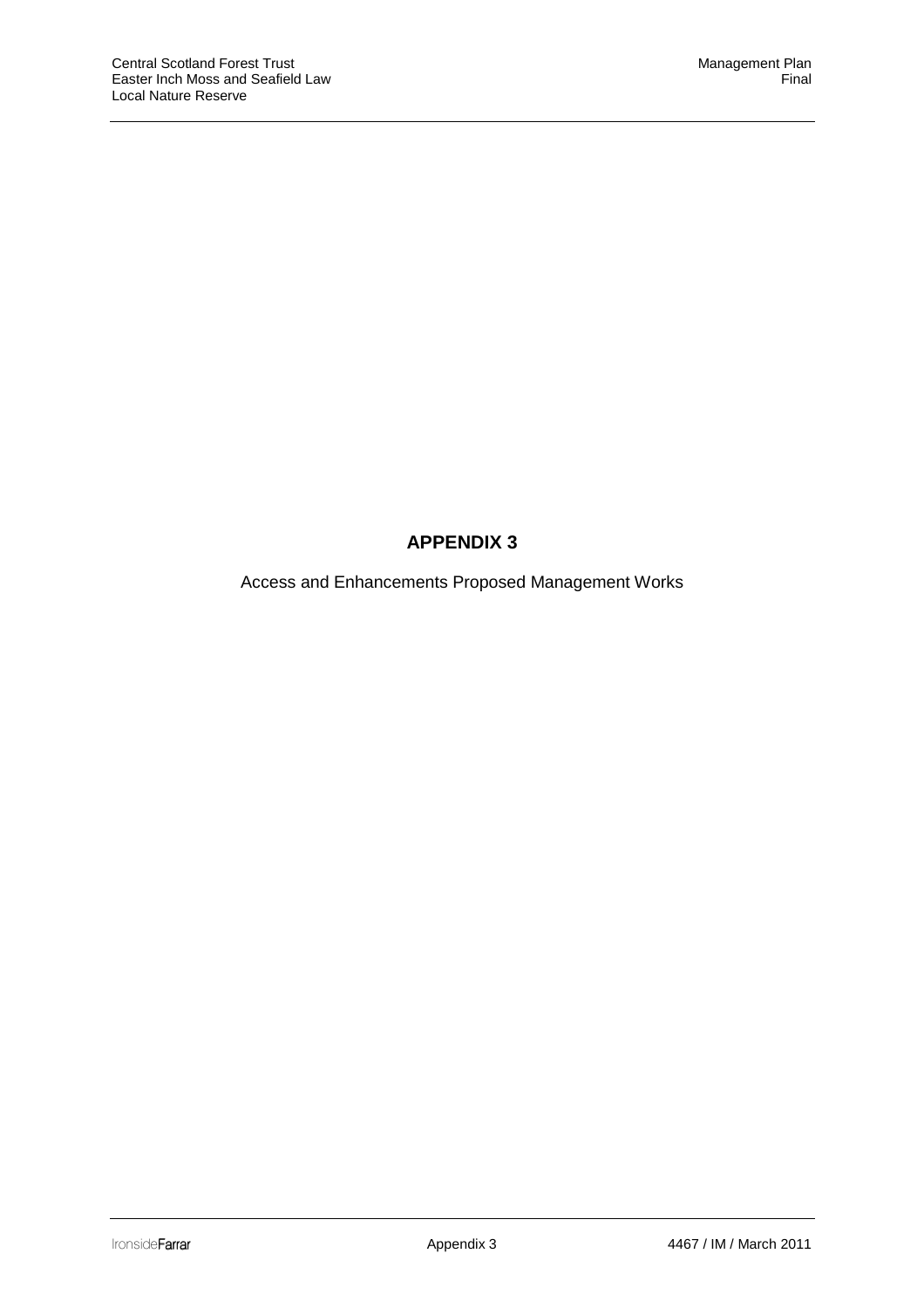# **APPENDIX 3**

Access and Enhancements Proposed Management Works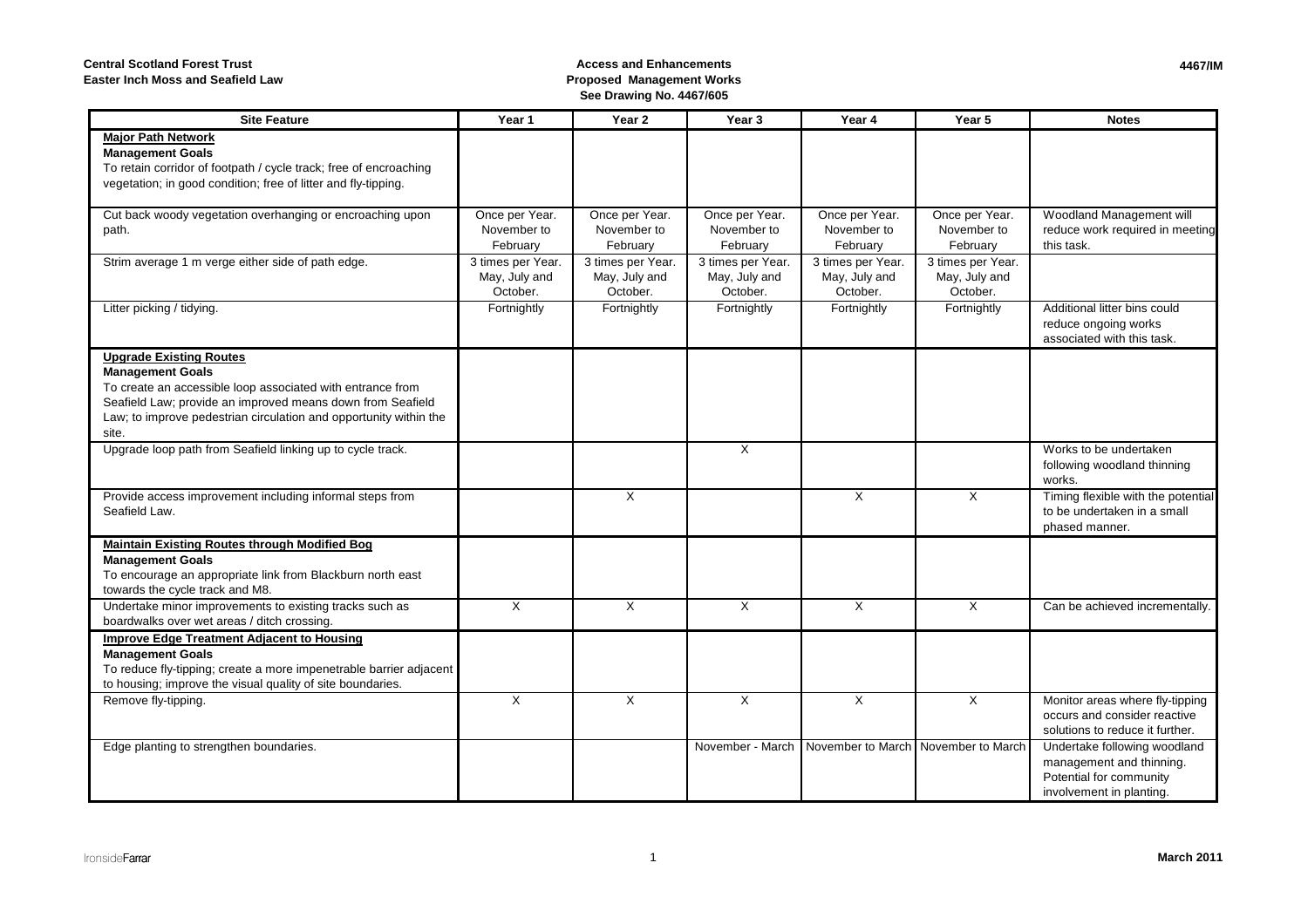**Central Scotland Forest Trust**

**Easter Inch Moss and Seafield Law**

### **Access and Enhancements Proposed Management WorksSee Drawing No. 4467/605**

| <b>Site Feature</b>                                                                                                                                                                                                                                                 | Year 1                                         | Year <sub>2</sub>                              | Year <sub>3</sub>                              | Year 4                                         | Year 5                                         | <b>Notes</b>                                                                                                    |
|---------------------------------------------------------------------------------------------------------------------------------------------------------------------------------------------------------------------------------------------------------------------|------------------------------------------------|------------------------------------------------|------------------------------------------------|------------------------------------------------|------------------------------------------------|-----------------------------------------------------------------------------------------------------------------|
| <b>Major Path Network</b><br><b>Management Goals</b><br>To retain corridor of footpath / cycle track; free of encroaching<br>vegetation; in good condition; free of litter and fly-tipping.                                                                         |                                                |                                                |                                                |                                                |                                                |                                                                                                                 |
| Cut back woody vegetation overhanging or encroaching upon<br>path.                                                                                                                                                                                                  | Once per Year.<br>November to<br>February      | Once per Year.<br>November to<br>February      | Once per Year.<br>November to<br>February      | Once per Year.<br>November to<br>February      | Once per Year.<br>November to<br>February      | Woodland Management will<br>reduce work required in meeting<br>this task.                                       |
| Strim average 1 m verge either side of path edge.                                                                                                                                                                                                                   | 3 times per Year.<br>May, July and<br>October. | 3 times per Year.<br>May, July and<br>October. | 3 times per Year.<br>May, July and<br>October. | 3 times per Year.<br>May, July and<br>October. | 3 times per Year.<br>May, July and<br>October. |                                                                                                                 |
| Litter picking / tidying.                                                                                                                                                                                                                                           | Fortnightly                                    | Fortnightly                                    | Fortnightly                                    | Fortnightly                                    | Fortnightly                                    | Additional litter bins could<br>reduce ongoing works<br>associated with this task.                              |
| <b>Upgrade Existing Routes</b><br><b>Management Goals</b><br>To create an accessible loop associated with entrance from<br>Seafield Law; provide an improved means down from Seafield<br>Law; to improve pedestrian circulation and opportunity within the<br>site. |                                                |                                                |                                                |                                                |                                                |                                                                                                                 |
| Upgrade loop path from Seafield linking up to cycle track.                                                                                                                                                                                                          |                                                |                                                | X                                              |                                                |                                                | Works to be undertaken<br>following woodland thinning<br>works.                                                 |
| Provide access improvement including informal steps from<br>Seafield Law.                                                                                                                                                                                           |                                                | $\times$                                       |                                                | X                                              | $\times$                                       | Timing flexible with the potential<br>to be undertaken in a small<br>phased manner.                             |
| <b>Maintain Existing Routes through Modified Bog</b><br><b>Management Goals</b><br>To encourage an appropriate link from Blackburn north east<br>towards the cycle track and M8.                                                                                    |                                                |                                                |                                                |                                                |                                                |                                                                                                                 |
| Undertake minor improvements to existing tracks such as<br>boardwalks over wet areas / ditch crossing.                                                                                                                                                              | X                                              | X                                              | X                                              | X                                              | X                                              | Can be achieved incrementally.                                                                                  |
| <b>Improve Edge Treatment Adjacent to Housing</b><br><b>Management Goals</b><br>To reduce fly-tipping; create a more impenetrable barrier adjacent<br>to housing; improve the visual quality of site boundaries.                                                    |                                                |                                                |                                                |                                                |                                                |                                                                                                                 |
| Remove fly-tipping.                                                                                                                                                                                                                                                 | $\times$                                       | $\times$                                       | X                                              | X                                              | X                                              | Monitor areas where fly-tipping<br>occurs and consider reactive<br>solutions to reduce it further.              |
| Edge planting to strengthen boundaries.                                                                                                                                                                                                                             |                                                |                                                | November - March                               | November to March November to March            |                                                | Undertake following woodland<br>management and thinning.<br>Potential for community<br>involvement in planting. |